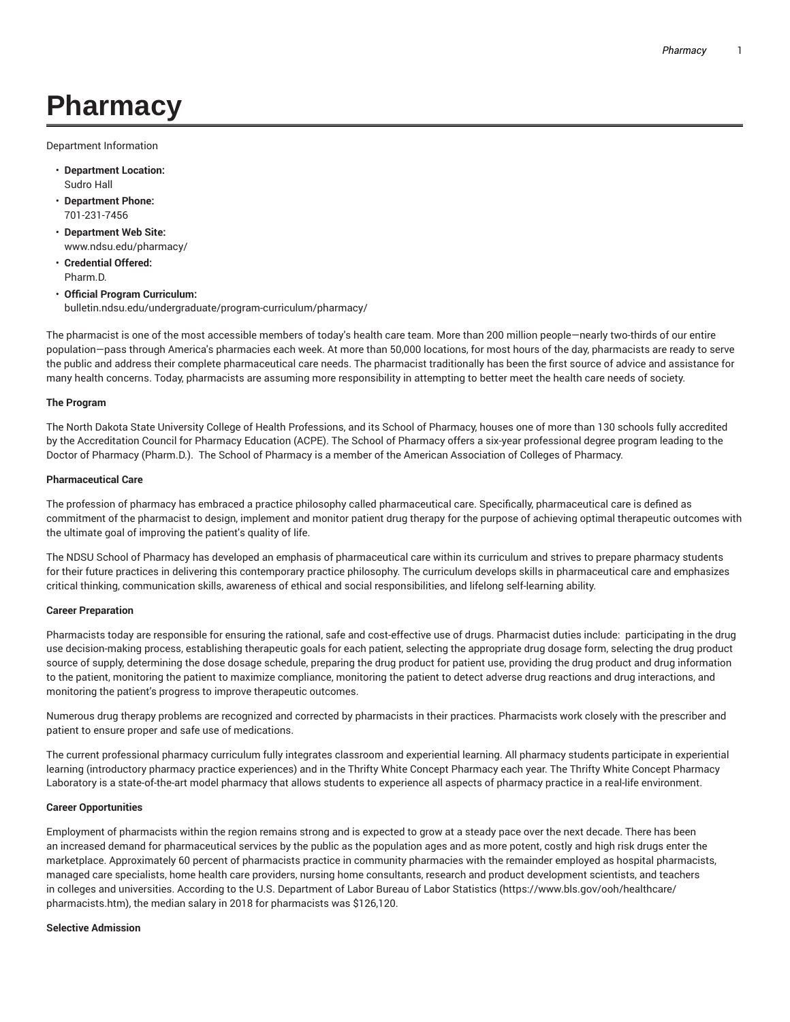# **Pharmacy**

Department Information

- **Department Location:** Sudro Hall
- **Department Phone:** 701-231-7456
- **Department Web Site:** www.ndsu.edu/pharmacy/
- **Credential Offered:** Pharm.D.
- **Official Program Curriculum:** bulletin.ndsu.edu/undergraduate/program-curriculum/pharmacy/

The pharmacist is one of the most accessible members of today's health care team. More than 200 million people—nearly two-thirds of our entire population—pass through America's pharmacies each week. At more than 50,000 locations, for most hours of the day, pharmacists are ready to serve the public and address their complete pharmaceutical care needs. The pharmacist traditionally has been the first source of advice and assistance for many health concerns. Today, pharmacists are assuming more responsibility in attempting to better meet the health care needs of society.

# **The Program**

The North Dakota State University College of Health Professions, and its School of Pharmacy, houses one of more than 130 schools fully accredited by the Accreditation Council for Pharmacy Education (ACPE). The School of Pharmacy offers a six-year professional degree program leading to the Doctor of Pharmacy (Pharm.D.). The School of Pharmacy is a member of the American Association of Colleges of Pharmacy.

## **Pharmaceutical Care**

The profession of pharmacy has embraced a practice philosophy called pharmaceutical care. Specifically, pharmaceutical care is defined as commitment of the pharmacist to design, implement and monitor patient drug therapy for the purpose of achieving optimal therapeutic outcomes with the ultimate goal of improving the patient's quality of life.

The NDSU School of Pharmacy has developed an emphasis of pharmaceutical care within its curriculum and strives to prepare pharmacy students for their future practices in delivering this contemporary practice philosophy. The curriculum develops skills in pharmaceutical care and emphasizes critical thinking, communication skills, awareness of ethical and social responsibilities, and lifelong self-learning ability.

## **Career Preparation**

Pharmacists today are responsible for ensuring the rational, safe and cost-effective use of drugs. Pharmacist duties include: participating in the drug use decision-making process, establishing therapeutic goals for each patient, selecting the appropriate drug dosage form, selecting the drug product source of supply, determining the dose dosage schedule, preparing the drug product for patient use, providing the drug product and drug information to the patient, monitoring the patient to maximize compliance, monitoring the patient to detect adverse drug reactions and drug interactions, and monitoring the patient's progress to improve therapeutic outcomes.

Numerous drug therapy problems are recognized and corrected by pharmacists in their practices. Pharmacists work closely with the prescriber and patient to ensure proper and safe use of medications.

The current professional pharmacy curriculum fully integrates classroom and experiential learning. All pharmacy students participate in experiential learning (introductory pharmacy practice experiences) and in the Thrifty White Concept Pharmacy each year. The Thrifty White Concept Pharmacy Laboratory is a state-of-the-art model pharmacy that allows students to experience all aspects of pharmacy practice in a real-life environment.

## **Career Opportunities**

Employment of pharmacists within the region remains strong and is expected to grow at a steady pace over the next decade. There has been an increased demand for pharmaceutical services by the public as the population ages and as more potent, costly and high risk drugs enter the marketplace. Approximately 60 percent of pharmacists practice in community pharmacies with the remainder employed as hospital pharmacists, managed care specialists, home health care providers, nursing home consultants, research and product development scientists, and teachers in colleges and universities. According to the U.S. Department of Labor Bureau of Labor Statistics (https://www.bls.gov/ooh/healthcare/ pharmacists.htm), the median salary in 2018 for pharmacists was \$126,120.

## **Selective Admission**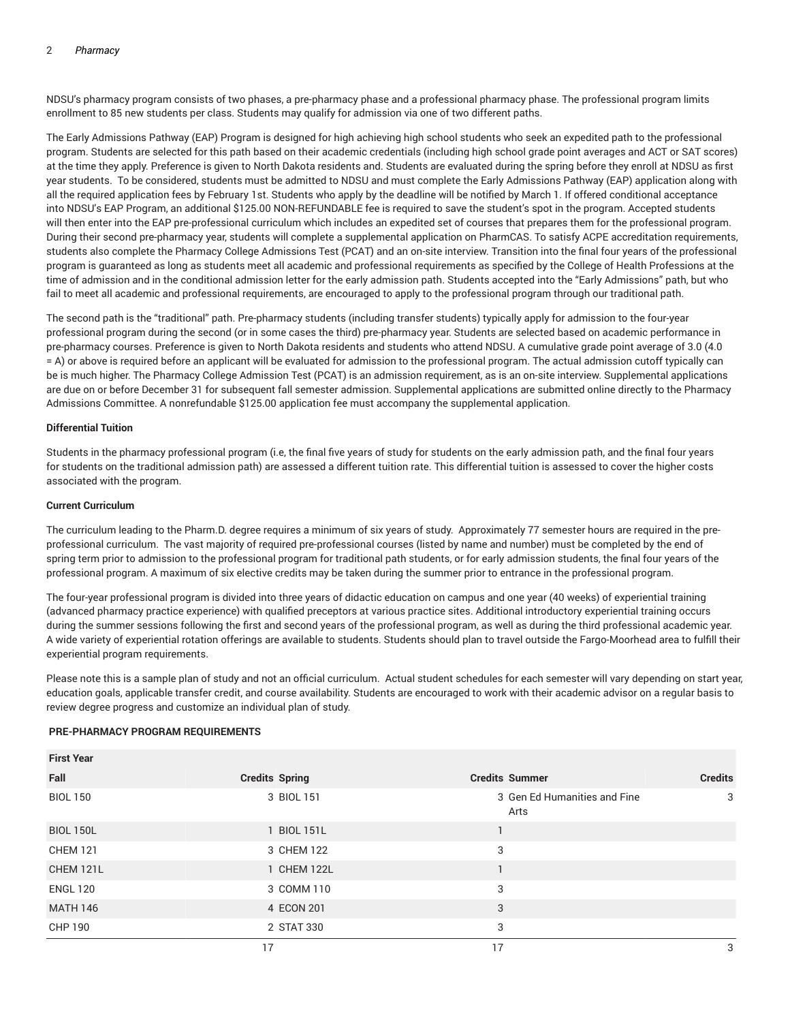NDSU's pharmacy program consists of two phases, a pre-pharmacy phase and a professional pharmacy phase. The professional program limits enrollment to 85 new students per class. Students may qualify for admission via one of two different paths.

The Early Admissions Pathway (EAP) Program is designed for high achieving high school students who seek an expedited path to the professional program. Students are selected for this path based on their academic credentials (including high school grade point averages and ACT or SAT scores) at the time they apply. Preference is given to North Dakota residents and. Students are evaluated during the spring before they enroll at NDSU as first year students. To be considered, students must be admitted to NDSU and must complete the Early Admissions Pathway (EAP) application along with all the required application fees by February 1st. Students who apply by the deadline will be notified by March 1. If offered conditional acceptance into NDSU's EAP Program, an additional \$125.00 NON-REFUNDABLE fee is required to save the student's spot in the program. Accepted students will then enter into the EAP pre-professional curriculum which includes an expedited set of courses that prepares them for the professional program. During their second pre-pharmacy year, students will complete a supplemental application on PharmCAS. To satisfy ACPE accreditation requirements, students also complete the Pharmacy College Admissions Test (PCAT) and an on-site interview. Transition into the final four years of the professional program is guaranteed as long as students meet all academic and professional requirements as specified by the College of Health Professions at the time of admission and in the conditional admission letter for the early admission path. Students accepted into the "Early Admissions" path, but who fail to meet all academic and professional requirements, are encouraged to apply to the professional program through our traditional path.

The second path is the "traditional" path. Pre-pharmacy students (including transfer students) typically apply for admission to the four-year professional program during the second (or in some cases the third) pre-pharmacy year. Students are selected based on academic performance in pre-pharmacy courses. Preference is given to North Dakota residents and students who attend NDSU. A cumulative grade point average of 3.0 (4.0 = A) or above is required before an applicant will be evaluated for admission to the professional program. The actual admission cutoff typically can be is much higher. The Pharmacy College Admission Test (PCAT) is an admission requirement, as is an on-site interview. Supplemental applications are due on or before December 31 for subsequent fall semester admission. Supplemental applications are submitted online directly to the Pharmacy Admissions Committee. A nonrefundable \$125.00 application fee must accompany the supplemental application.

# **Differential Tuition**

Students in the pharmacy professional program (i.e, the final five years of study for students on the early admission path, and the final four years for students on the traditional admission path) are assessed a different tuition rate. This differential tuition is assessed to cover the higher costs associated with the program.

## **Current Curriculum**

The curriculum leading to the Pharm.D. degree requires a minimum of six years of study. Approximately 77 semester hours are required in the preprofessional curriculum. The vast majority of required pre-professional courses (listed by name and number) must be completed by the end of spring term prior to admission to the professional program for traditional path students, or for early admission students, the final four years of the professional program. A maximum of six elective credits may be taken during the summer prior to entrance in the professional program.

The four-year professional program is divided into three years of didactic education on campus and one year (40 weeks) of experiential training (advanced pharmacy practice experience) with qualified preceptors at various practice sites. Additional introductory experiential training occurs during the summer sessions following the first and second years of the professional program, as well as during the third professional academic year. A wide variety of experiential rotation offerings are available to students. Students should plan to travel outside the Fargo-Moorhead area to fulfill their experiential program requirements.

Please note this is a sample plan of study and not an official curriculum. Actual student schedules for each semester will vary depending on start year, education goals, applicable transfer credit, and course availability. Students are encouraged to work with their academic advisor on a regular basis to review degree progress and customize an individual plan of study.

## **PRE-PHARMACY PROGRAM REQUIREMENTS**

| <b>First Year</b> |                       |                                      |                |
|-------------------|-----------------------|--------------------------------------|----------------|
| Fall              | <b>Credits Spring</b> | <b>Credits Summer</b>                | <b>Credits</b> |
| <b>BIOL 150</b>   | 3 BIOL 151            | 3 Gen Ed Humanities and Fine<br>Arts | 3              |
| <b>BIOL 150L</b>  | 1 BIOL 151L           |                                      |                |
| <b>CHEM 121</b>   | 3 CHEM 122            | 3                                    |                |
| CHEM 121L         | 1 CHEM 122L           |                                      |                |
| <b>ENGL 120</b>   | 3 COMM 110            | 3                                    |                |
| <b>MATH 146</b>   | 4 ECON 201            | 3                                    |                |
| CHP 190           | 2 STAT 330            | 3                                    |                |
|                   | 17                    | 17                                   | 3              |